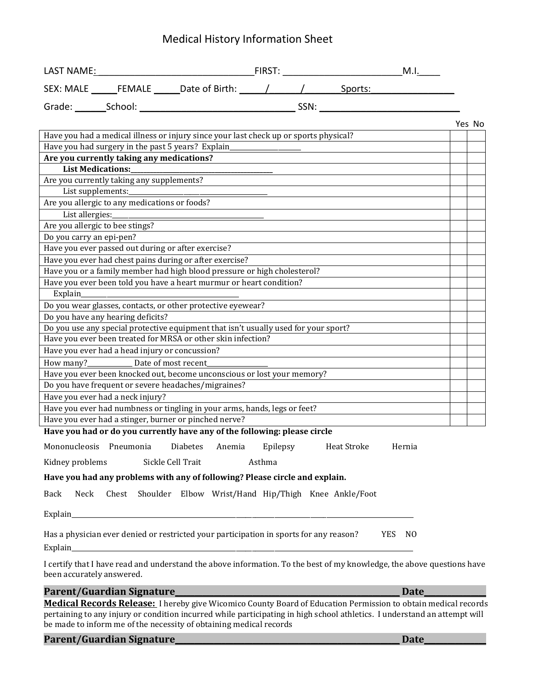## Medical History Information Sheet

| LAST NAME <u>: Milling and Milling and Milling and Milling and Milling and Milling and Milling and Milling and Mill</u> |  |
|-------------------------------------------------------------------------------------------------------------------------|--|
|                                                                                                                         |  |
|                                                                                                                         |  |
| Yes No                                                                                                                  |  |
| Have you had a medical illness or injury since your last check up or sports physical?                                   |  |
| Have you had surgery in the past 5 years? Explain_                                                                      |  |
| Are you currently taking any medications?                                                                               |  |
| List Medications:_____________                                                                                          |  |
| Are you currently taking any supplements?                                                                               |  |
| List supplements:                                                                                                       |  |
| Are you allergic to any medications or foods?                                                                           |  |
| List allergies:                                                                                                         |  |
| Are you allergic to bee stings?                                                                                         |  |
| Do you carry an epi-pen?                                                                                                |  |
| Have you ever passed out during or after exercise?                                                                      |  |
| Have you ever had chest pains during or after exercise?                                                                 |  |
| Have you or a family member had high blood pressure or high cholesterol?                                                |  |
| Have you ever been told you have a heart murmur or heart condition?                                                     |  |
| Explain_                                                                                                                |  |
| Do you wear glasses, contacts, or other protective eyewear?                                                             |  |
| Do you have any hearing deficits?                                                                                       |  |
| Do you use any special protective equipment that isn't usually used for your sport?                                     |  |
| Have you ever been treated for MRSA or other skin infection?                                                            |  |
| Have you ever had a head injury or concussion?                                                                          |  |
| Date of most recent                                                                                                     |  |
| Have you ever been knocked out, become unconscious or lost your memory?                                                 |  |
| Do you have frequent or severe headaches/migraines?                                                                     |  |
| Have you ever had a neck injury?                                                                                        |  |
| Have you ever had numbness or tingling in your arms, hands, legs or feet?                                               |  |
| Have you ever had a stinger, burner or pinched nerve?                                                                   |  |
| Have you had or do you currently have any of the following: please circle                                               |  |
| Mononucleosis Pneumonia<br>Epilepsy<br>Heat Stroke<br><b>Diabetes</b><br>Anemia<br>Hernia                               |  |
| Sickle Cell Trait<br>Kidney problems<br>Asthma                                                                          |  |
| Have you had any problems with any of following? Please circle and explain.                                             |  |
| Chest Shoulder Elbow Wrist/Hand Hip/Thigh Knee Ankle/Foot<br>Back<br>Neck                                               |  |

 $Explain$ 

Has a physician ever denied or restricted your participation in sports for any reason? YES NO Explain\_\_\_\_\_\_\_\_\_\_\_\_\_\_\_\_\_\_\_\_\_\_\_\_\_\_\_\_\_\_\_\_\_\_\_\_\_\_\_\_\_\_\_\_\_\_\_\_\_\_\_\_\_\_\_\_\_\_\_\_\_\_\_\_\_\_\_\_\_\_\_\_\_\_\_\_\_\_\_\_\_\_\_\_\_\_\_\_\_\_\_\_\_\_\_\_\_\_\_\_\_\_\_\_\_\_

I certify that I have read and understand the above information. To the best of my knowledge, the above questions have been accurately answered.

**Parent/Guardian Signature\_\_\_\_\_\_\_\_\_\_\_\_\_\_\_\_\_\_\_\_\_\_\_\_\_\_\_\_\_\_\_\_\_\_\_\_\_\_\_\_\_\_\_\_\_\_\_\_\_\_\_\_\_\_\_\_\_\_ Date\_\_\_\_\_\_\_\_\_\_\_\_\_\_\_\_**

**Medical Records Release:** I hereby give Wicomico County Board of Education Permission to obtain medical records pertaining to any injury or condition incurred while participating in high school athletics. I understand an attempt will be made to inform me of the necessity of obtaining medical records

**Parent/Guardian Signature\_\_\_\_\_\_\_\_\_\_\_\_\_\_\_\_\_\_\_\_\_\_\_\_\_\_\_\_\_\_\_\_\_\_\_\_\_\_\_\_\_\_\_\_\_\_\_\_\_\_\_\_\_\_\_\_\_\_ Date\_\_\_\_\_\_\_\_\_\_\_\_\_\_\_\_**